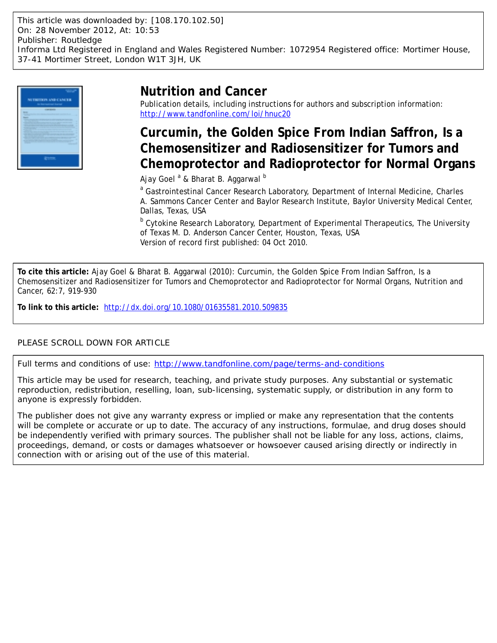

## **Nutrition and Cancer**

Publication details, including instructions for authors and subscription information: <http://www.tandfonline.com/loi/hnuc20>

# **Curcumin, the Golden Spice From Indian Saffron, Is a Chemosensitizer and Radiosensitizer for Tumors and Chemoprotector and Radioprotector for Normal Organs**

Ajay Goel <sup>a</sup> & Bharat B. Aggarwal <sup>b</sup>

<sup>a</sup> Gastrointestinal Cancer Research Laboratory, Department of Internal Medicine, Charles A. Sammons Cancer Center and Baylor Research Institute, Baylor University Medical Center, Dallas, Texas, USA

<sup>b</sup> Cytokine Research Laboratory, Department of Experimental Therapeutics, The University of Texas M. D. Anderson Cancer Center, Houston, Texas, USA Version of record first published: 04 Oct 2010.

**To cite this article:** Ajay Goel & Bharat B. Aggarwal (2010): Curcumin, the Golden Spice From Indian Saffron, Is a Chemosensitizer and Radiosensitizer for Tumors and Chemoprotector and Radioprotector for Normal Organs, Nutrition and Cancer, 62:7, 919-930

**To link to this article:** <http://dx.doi.org/10.1080/01635581.2010.509835>

## PLEASE SCROLL DOWN FOR ARTICLE

Full terms and conditions of use:<http://www.tandfonline.com/page/terms-and-conditions>

This article may be used for research, teaching, and private study purposes. Any substantial or systematic reproduction, redistribution, reselling, loan, sub-licensing, systematic supply, or distribution in any form to anyone is expressly forbidden.

The publisher does not give any warranty express or implied or make any representation that the contents will be complete or accurate or up to date. The accuracy of any instructions, formulae, and drug doses should be independently verified with primary sources. The publisher shall not be liable for any loss, actions, claims, proceedings, demand, or costs or damages whatsoever or howsoever caused arising directly or indirectly in connection with or arising out of the use of this material.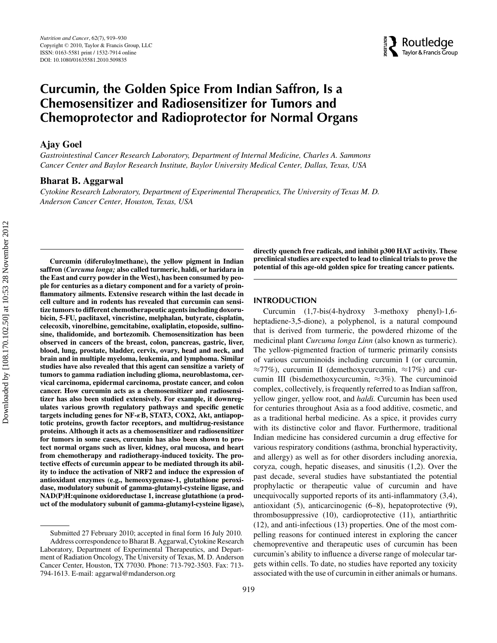

## **Curcumin, the Golden Spice From Indian Saffron, Is a Chemosensitizer and Radiosensitizer for Tumors and Chemoprotector and Radioprotector for Normal Organs**

## **Ajay Goel**

*Gastrointestinal Cancer Research Laboratory, Department of Internal Medicine, Charles A. Sammons Cancer Center and Baylor Research Institute, Baylor University Medical Center, Dallas, Texas, USA*

## **Bharat B. Aggarwal**

*Cytokine Research Laboratory, Department of Experimental Therapeutics, The University of Texas M. D. Anderson Cancer Center, Houston, Texas, USA*

**Curcumin (diferuloylmethane), the yellow pigment in Indian saffron (***Curcuma longa;* **also called turmeric, haldi, or haridara in the East and curry powder in the West), has been consumed by people for centuries as a dietary component and for a variety of proinflammatory ailments. Extensive research within the last decade in cell culture and in rodents has revealed that curcumin can sensitize tumors to different chemotherapeutic agents including doxorubicin, 5-FU, paclitaxel, vincristine, melphalan, butyrate, cisplatin, celecoxib, vinorelbine, gemcitabine, oxaliplatin, etoposide, sulfinosine, thalidomide, and bortezomib. Chemosensitization has been observed in cancers of the breast, colon, pancreas, gastric, liver, blood, lung, prostate, bladder, cervix, ovary, head and neck, and brain and in multiple myeloma, leukemia, and lymphoma. Similar studies have also revealed that this agent can sensitize a variety of tumors to gamma radiation including glioma, neuroblastoma, cervical carcinoma, epidermal carcinoma, prostate cancer, and colon cancer. How curcumin acts as a chemosensitizer and radiosensitizer has also been studied extensively. For example, it downregulates various growth regulatory pathways and specific genetic targets including genes for NF-***κ***B, STAT3, COX2, Akt, antiapoptotic proteins, growth factor receptors, and multidrug-resistance proteins. Although it acts as a chemosensitizer and radiosensitizer for tumors in some cases, curcumin has also been shown to protect normal organs such as liver, kidney, oral mucosa, and heart from chemotherapy and radiotherapy-induced toxicity. The protective effects of curcumin appear to be mediated through its ability to induce the activation of NRF2 and induce the expression of antioxidant enzymes (e.g., hemeoxygenase-1, glutathione peroxidase, modulatory subunit of gamma-glutamyl-cysteine ligase, and NAD(P)H:quinone oxidoreductase 1, increase glutathione (a product of the modulatory subunit of gamma-glutamyl-cysteine ligase),**

**directly quench free radicals, and inhibit p300 HAT activity. These preclinical studies are expected to lead to clinical trials to prove the potential of this age-old golden spice for treating cancer patients.**

## **INTRODUCTION**

Curcumin (1,7-bis(4-hydroxy 3-methoxy phenyl)-1,6 heptadiene-3,5-dione), a polyphenol, is a natural compound that is derived from turmeric, the powdered rhizome of the medicinal plant *Curcuma longa Linn* (also known as turmeric). The yellow-pigmented fraction of turmeric primarily consists of various curcuminoids including curcumin I (or curcumin,  $\approx$ 77%), curcumin II (demethoxycurcumin,  $\approx$ 17%) and curcumin III (bisdemethoxycurcumin, ≈3%). The curcuminoid complex, collectively, is frequently referred to as Indian saffron, yellow ginger, yellow root, and *haldi.* Curcumin has been used for centuries throughout Asia as a food additive, cosmetic, and as a traditional herbal medicine. As a spice, it provides curry with its distinctive color and flavor. Furthermore, traditional Indian medicine has considered curcumin a drug effective for various respiratory conditions (asthma, bronchial hyperactivity, and allergy) as well as for other disorders including anorexia, coryza, cough, hepatic diseases, and sinusitis (1,2). Over the past decade, several studies have substantiated the potential prophylactic or therapeutic value of curcumin and have unequivocally supported reports of its anti-inflammatory (3,4), antioxidant (5), anticarcinogenic (6–8), hepatoprotective (9), thrombosuppressive (10), cardioprotective (11), antiarthritic (12), and anti-infectious (13) properties. One of the most compelling reasons for continued interest in exploring the cancer chemopreventive and therapeutic uses of curcumin has been curcumin's ability to influence a diverse range of molecular targets within cells. To date, no studies have reported any toxicity associated with the use of curcumin in either animals or humans.

Submitted 27 February 2010; accepted in final form 16 July 2010. Address correspondence to Bharat B. Aggarwal, Cytokine Research Laboratory, Department of Experimental Therapeutics, and Department of Radiation Oncology, The University of Texas, M. D. Anderson Cancer Center, Houston, TX 77030. Phone: 713-792-3503. Fax: 713- 794-1613. E-mail: aggarwal@mdanderson.org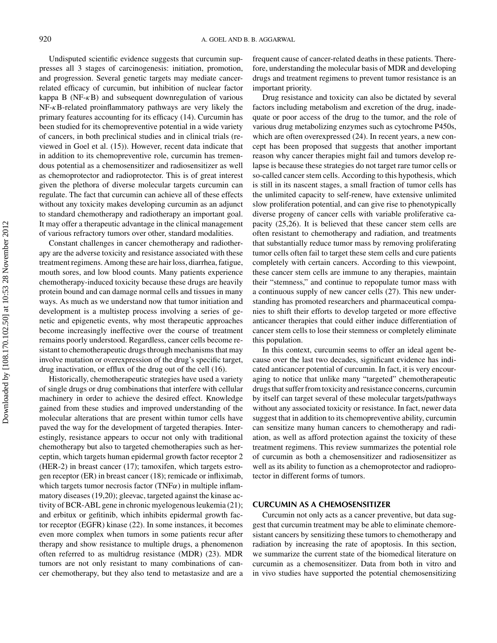Undisputed scientific evidence suggests that curcumin suppresses all 3 stages of carcinogenesis: initiation, promotion, and progression. Several genetic targets may mediate cancerrelated efficacy of curcumin, but inhibition of nuclear factor kappa B (NF-*κ*B) and subsequent downregulation of various NF-*κ*B-related proinflammatory pathways are very likely the primary features accounting for its efficacy (14). Curcumin has been studied for its chemopreventive potential in a wide variety of cancers, in both preclinical studies and in clinical trials (reviewed in Goel et al. (15)). However, recent data indicate that in addition to its chemopreventive role, curcumin has tremendous potential as a chemosensitizer and radiosensitizer as well as chemoprotector and radioprotector. This is of great interest given the plethora of diverse molecular targets curcumin can regulate. The fact that curcumin can achieve all of these effects without any toxicity makes developing curcumin as an adjunct to standard chemotherapy and radiotherapy an important goal. It may offer a therapeutic advantage in the clinical management of various refractory tumors over other, standard modalities.

Constant challenges in cancer chemotherapy and radiotherapy are the adverse toxicity and resistance associated with these treatment regimens. Among these are hair loss, diarrhea, fatigue, mouth sores, and low blood counts. Many patients experience chemotherapy-induced toxicity because these drugs are heavily protein bound and can damage normal cells and tissues in many ways. As much as we understand now that tumor initiation and development is a multistep process involving a series of genetic and epigenetic events, why most therapeutic approaches become increasingly ineffective over the course of treatment remains poorly understood. Regardless, cancer cells become resistant to chemotherapeutic drugs through mechanisms that may involve mutation or overexpression of the drug's specific target, drug inactivation, or efflux of the drug out of the cell (16).

Historically, chemotherapeutic strategies have used a variety of single drugs or drug combinations that interfere with cellular machinery in order to achieve the desired effect. Knowledge gained from these studies and improved understanding of the molecular alterations that are present within tumor cells have paved the way for the development of targeted therapies. Interestingly, resistance appears to occur not only with traditional chemotherapy but also to targeted chemotherapies such as herceptin, which targets human epidermal growth factor receptor 2 (HER-2) in breast cancer (17); tamoxifen, which targets estrogen receptor (ER) in breast cancer (18); remicade or infliximab, which targets tumor necrosis factor (TNF*α*) in multiple inflammatory diseases (19,20); gleevac, targeted against the kinase activity of BCR-ABL gene in chronic myelogenous leukemia (21); and erbitux or gefitinib, which inhibits epidermal growth factor receptor (EGFR) kinase (22). In some instances, it becomes even more complex when tumors in some patients recur after therapy and show resistance to multiple drugs, a phenomenon often referred to as multidrug resistance (MDR) (23). MDR tumors are not only resistant to many combinations of cancer chemotherapy, but they also tend to metastasize and are a frequent cause of cancer-related deaths in these patients. Therefore, understanding the molecular basis of MDR and developing drugs and treatment regimens to prevent tumor resistance is an important priority.

Drug resistance and toxicity can also be dictated by several factors including metabolism and excretion of the drug, inadequate or poor access of the drug to the tumor, and the role of various drug metabolizing enzymes such as cytochrome P450s, which are often overexpressed (24). In recent years, a new concept has been proposed that suggests that another important reason why cancer therapies might fail and tumors develop relapse is because these strategies do not target rare tumor cells or so-called cancer stem cells. According to this hypothesis, which is still in its nascent stages, a small fraction of tumor cells has the unlimited capacity to self-renew, have extensive unlimited slow proliferation potential, and can give rise to phenotypically diverse progeny of cancer cells with variable proliferative capacity (25,26). It is believed that these cancer stem cells are often resistant to chemotherapy and radiation, and treatments that substantially reduce tumor mass by removing proliferating tumor cells often fail to target these stem cells and cure patients completely with certain cancers. According to this viewpoint, these cancer stem cells are immune to any therapies, maintain their "stemness," and continue to repopulate tumor mass with a continuous supply of new cancer cells (27). This new understanding has promoted researchers and pharmaceutical companies to shift their efforts to develop targeted or more effective anticancer therapies that could either induce differentiation of cancer stem cells to lose their stemness or completely eliminate this population.

In this context, curcumin seems to offer an ideal agent because over the last two decades, significant evidence has indicated anticancer potential of curcumin. In fact, it is very encouraging to notice that unlike many "targeted" chemotherapeutic drugs that suffer from toxicity and resistance concerns, curcumin by itself can target several of these molecular targets/pathways without any associated toxicity or resistance. In fact, newer data suggest that in addition to its chemopreventive ability, curcumin can sensitize many human cancers to chemotherapy and radiation, as well as afford protection against the toxicity of these treatment regimens. This review summarizes the potential role of curcumin as both a chemosensitizer and radiosensitizer as well as its ability to function as a chemoprotector and radioprotector in different forms of tumors.

#### **CURCUMIN AS A CHEMOSENSITIZER**

Curcumin not only acts as a cancer preventive, but data suggest that curcumin treatment may be able to eliminate chemoresistant cancers by sensitizing these tumors to chemotherapy and radiation by increasing the rate of apoptosis. In this section, we summarize the current state of the biomedical literature on curcumin as a chemosensitizer. Data from both in vitro and in vivo studies have supported the potential chemosensitizing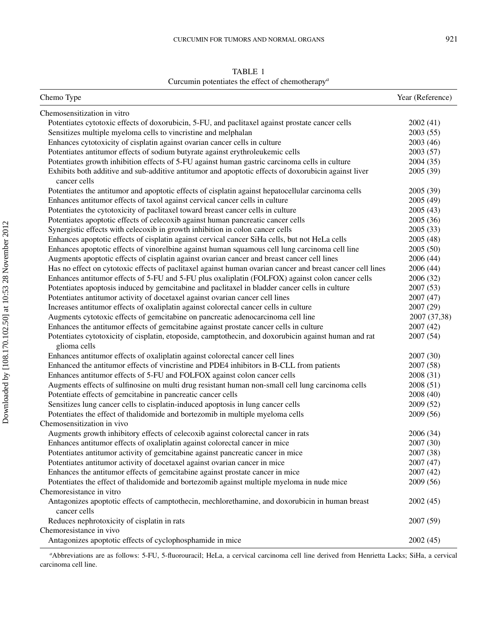TABLE 1 Curcumin potentiates the effect of chemotherapy*<sup>a</sup>*

| Chemo Type                                                                                                            | Year (Reference) |
|-----------------------------------------------------------------------------------------------------------------------|------------------|
| Chemosensitization in vitro                                                                                           |                  |
| Potentiates cytotoxic effects of doxorubicin, 5-FU, and paclitaxel against prostate cancer cells                      | 2002 (41)        |
| Sensitizes multiple myeloma cells to vincristine and melphalan                                                        | 2003 (55)        |
| Enhances cytotoxicity of cisplatin against ovarian cancer cells in culture                                            | 2003 (46)        |
| Potentiates antitumor effects of sodium butyrate against erythroleukemic cells                                        | 2003 (57)        |
| Potentiates growth inhibition effects of 5-FU against human gastric carcinoma cells in culture                        | 2004(35)         |
| Exhibits both additive and sub-additive antitumor and apoptotic effects of doxorubicin against liver<br>cancer cells  | 2005 (39)        |
| Potentiates the antitumor and apoptotic effects of cisplatin against hepatocellular carcinoma cells                   | 2005 (39)        |
| Enhances antitumor effects of taxol against cervical cancer cells in culture                                          | 2005 (49)        |
| Potentiates the cytotoxicity of paclitaxel toward breast cancer cells in culture                                      | 2005(43)         |
| Potentiates apoptotic effects of celecoxib against human pancreatic cancer cells                                      | 2005 (36)        |
| Synergistic effects with celecoxib in growth inhibition in colon cancer cells                                         | 2005 (33)        |
| Enhances apoptotic effects of cisplatin against cervical cancer SiHa cells, but not HeLa cells                        | 2005 (48)        |
| Enhances apoptotic effects of vinorelbine against human squamous cell lung carcinoma cell line                        | 2005(50)         |
| Augments apoptotic effects of cisplatin against ovarian cancer and breast cancer cell lines                           | 2006 (44)        |
| Has no effect on cytotoxic effects of paclitaxel against human ovarian cancer and breast cancer cell lines            | 2006 (44)        |
| Enhances antitumor effects of 5-FU and 5-FU plus oxaliplatin (FOLFOX) against colon cancer cells                      | 2006 (32)        |
| Potentiates apoptosis induced by gemcitabine and paclitaxel in bladder cancer cells in culture                        | 2007 (53)        |
| Potentiates antitumor activity of docetaxel against ovarian cancer cell lines                                         | 2007 (47)        |
| Increases antitumor effects of oxaliplatin against colorectal cancer cells in culture                                 | 2007 (29)        |
| Augments cytotoxic effects of gemcitabine on pancreatic adenocarcinoma cell line                                      | 2007 (37,38)     |
| Enhances the antitumor effects of gemcitabine against prostate cancer cells in culture                                | 2007 (42)        |
| Potentiates cytotoxicity of cisplatin, etoposide, camptothecin, and doxorubicin against human and rat<br>glioma cells | 2007 (54)        |
| Enhances antitumor effects of oxaliplatin against colorectal cancer cell lines                                        | 2007 (30)        |
| Enhanced the antitumor effects of vincristine and PDE4 inhibitors in B-CLL from patients                              | 2007 (58)        |
| Enhances antitumor effects of 5-FU and FOLFOX against colon cancer cells                                              | 2008 (31)        |
| Augments effects of sulfinosine on multi drug resistant human non-small cell lung carcinoma cells                     | 2008 (51)        |
| Potentiate effects of gemcitabine in pancreatic cancer cells                                                          | 2008 (40)        |
| Sensitizes lung cancer cells to cisplatin-induced apoptosis in lung cancer cells                                      | 2009 (52)        |
| Potentiates the effect of thalidomide and bortezomib in multiple myeloma cells                                        | 2009 (56)        |
| Chemosensitization in vivo                                                                                            |                  |
| Augments growth inhibitory effects of celecoxib against colorectal cancer in rats                                     | 2006 (34)        |
| Enhances antitumor effects of oxaliplatin against colorectal cancer in mice                                           | 2007 (30)        |
| Potentiates antitumor activity of gemcitabine against pancreatic cancer in mice                                       | 2007 (38)        |
| Potentiates antitumor activity of docetaxel against ovarian cancer in mice                                            | 2007 (47)        |
| Enhances the antitumor effects of gemcitabine against prostate cancer in mice                                         | 2007 (42)        |
| Potentiates the effect of thalidomide and bortezomib against multiple myeloma in nude mice                            | 2009 (56)        |
| Chemoresistance in vitro                                                                                              |                  |
| Antagonizes apoptotic effects of camptothecin, mechlorethamine, and doxorubicin in human breast<br>cancer cells       | 2002(45)         |
| Reduces nephrotoxicity of cisplatin in rats                                                                           | 2007 (59)        |
| Chemoresistance in vivo                                                                                               |                  |
| Antagonizes apoptotic effects of cyclophosphamide in mice                                                             | 2002(45)         |

*a* Abbreviations are as follows: 5-FU, 5-fluorouracil; HeLa, a cervical carcinoma cell line derived from Henrietta Lacks; SiHa, a cervical carcinoma cell line.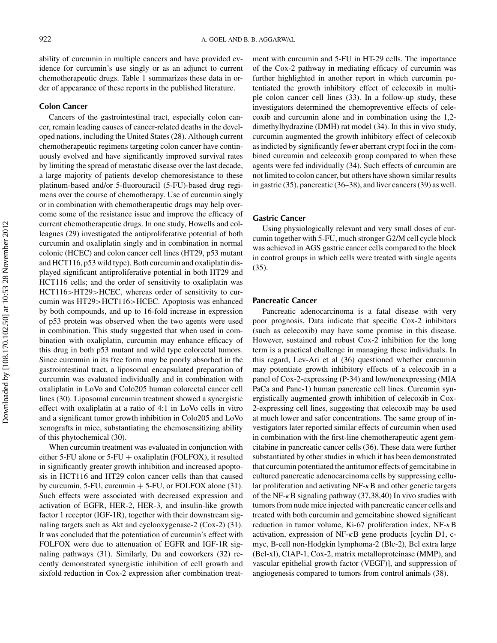ability of curcumin in multiple cancers and have provided evidence for curcumin's use singly or as an adjunct to current chemotherapeutic drugs. Table 1 summarizes these data in order of appearance of these reports in the published literature.

#### **Colon Cancer**

Cancers of the gastrointestinal tract, especially colon cancer, remain leading causes of cancer-related deaths in the developed nations, including the United States (28). Although current chemotherapeutic regimens targeting colon cancer have continuously evolved and have significantly improved survival rates by limiting the spread of metastatic disease over the last decade, a large majority of patients develop chemoresistance to these platinum-based and/or 5-fluorouracil (5-FU)-based drug regimens over the course of chemotherapy. Use of curcumin singly or in combination with chemotherapeutic drugs may help overcome some of the resistance issue and improve the efficacy of current chemotherapeutic drugs. In one study, Howells and colleagues (29) investigated the antiproliferative potential of both curcumin and oxaliplatin singly and in combination in normal colonic (HCEC) and colon cancer cell lines (HT29, p53 mutant and HCT116, p53 wild type). Both curcumin and oxaliplatin displayed significant antiproliferative potential in both HT29 and HCT116 cells; and the order of sensitivity to oxaliplatin was HCT116*>*HT29*>*HCEC, whereas order of sensitivity to curcumin was HT29*>*HCT116*>*HCEC. Apoptosis was enhanced by both compounds, and up to 16-fold increase in expression of p53 protein was observed when the two agents were used in combination. This study suggested that when used in combination with oxaliplatin, curcumin may enhance efficacy of this drug in both p53 mutant and wild type colorectal tumors. Since curcumin in its free form may be poorly absorbed in the gastrointestinal tract, a liposomal encapsulated preparation of curcumin was evaluated individually and in combination with oxaliplatin in LoVo and Colo205 human colorectal cancer cell lines (30). Liposomal curcumin treatment showed a synergistic effect with oxaliplatin at a ratio of 4:1 in LoVo cells in vitro and a significant tumor growth inhibition in Colo205 and LoVo xenografts in mice, substantiating the chemosensitizing ability of this phytochemical (30).

When curcumin treatment was evaluated in conjunction with either 5-FU alone or  $5$ -FU + oxaliplatin (FOLFOX), it resulted in significantly greater growth inhibition and increased apoptosis in HCT116 and HT29 colon cancer cells than that caused by curcumin, 5-FU, curcumin  $+$  5-FU, or FOLFOX alone (31). Such effects were associated with decreased expression and activation of EGFR, HER-2, HER-3, and insulin-like growth factor 1 receptor (IGF-1R), together with their downstream signaling targets such as Akt and cyclooxygenase-2 (Cox-2) (31). It was concluded that the potentiation of curcumin's effect with FOLFOX were due to attenuation of EGFR and IGF-1R signaling pathways (31). Similarly, Du and coworkers (32) recently demonstrated synergistic inhibition of cell growth and sixfold reduction in Cox-2 expression after combination treatment with curcumin and 5-FU in HT-29 cells. The importance of the Cox-2 pathway in mediating efficacy of curcumin was further highlighted in another report in which curcumin potentiated the growth inhibitory effect of celecoxib in multiple colon cancer cell lines (33). In a follow-up study, these investigators determined the chemopreventive effects of celecoxib and curcumin alone and in combination using the 1,2 dimethylhydrazine (DMH) rat model (34). In this in vivo study, curcumin augmented the growth inhibitory effect of celecoxib as indicted by significantly fewer aberrant crypt foci in the combined curcumin and celecoxib group compared to when these agents were fed individually (34). Such effects of curcumin are not limited to colon cancer, but others have shown similar results in gastric (35), pancreatic (36–38), and liver cancers (39) as well.

#### **Gastric Cancer**

Using physiologically relevant and very small doses of curcumin together with 5-FU, much stronger G2/M cell cycle block was achieved in AGS gastric cancer cells compared to the block in control groups in which cells were treated with single agents (35).

### **Pancreatic Cancer**

Pancreatic adenocarcinoma is a fatal disease with very poor prognosis. Data indicate that specific Cox-2 inhibitors (such as celecoxib) may have some promise in this disease. However, sustained and robust Cox-2 inhibition for the long term is a practical challenge in managing these individuals. In this regard, Lev-Ari et al (36) questioned whether curcumin may potentiate growth inhibitory effects of a celecoxib in a panel of Cox-2-expressing (P-34) and low/nonexpressing (MIA PaCa and Panc-1) human pancreatic cell lines. Curcumin synergistically augmented growth inhibition of celecoxib in Cox-2-expressing cell lines, suggesting that celecoxib may be used at much lower and safer concentrations. The same group of investigators later reported similar effects of curcumin when used in combination with the first-line chemotherapeutic agent gemcitabine in pancreatic cancer cells (36). These data were further substantiated by other studies in which it has been demonstrated that curcumin potentiated the antitumor effects of gemcitabine in cultured pancreatic adenocarcinoma cells by suppressing cellular proliferation and activating NF-*κ*B and other genetic targets of the NF-*κ*B signaling pathway (37,38,40) In vivo studies with tumors from nude mice injected with pancreatic cancer cells and treated with both curcumin and gemcitabine showed significant reduction in tumor volume, Ki-67 proliferation index, NF-*κ*B activation, expression of NF-*κ*B gene products [cyclin D1, cmyc, B-cell non-Hodgkin lymphoma-2 (Blc-2), Bcl extra large (Bcl-xl), CIAP-1, Cox-2, matrix metalloproteinase (MMP), and vascular epithelial growth factor (VEGF)], and suppression of angiogenesis compared to tumors from control animals (38).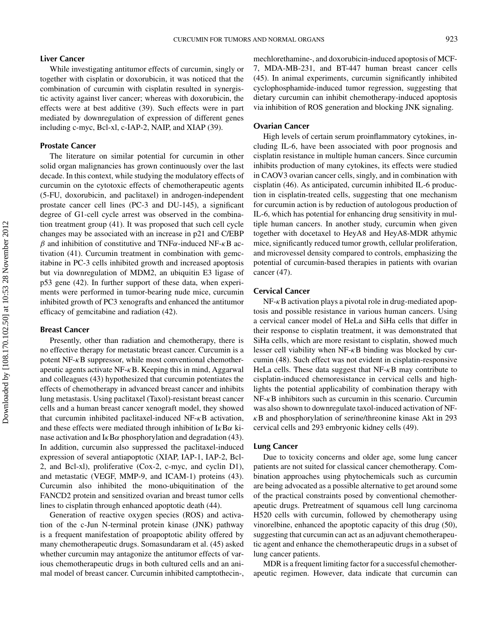#### **Liver Cancer**

While investigating antitumor effects of curcumin, singly or together with cisplatin or doxorubicin, it was noticed that the combination of curcumin with cisplatin resulted in synergistic activity against liver cancer; whereas with doxorubicin, the effects were at best additive (39). Such effects were in part mediated by downregulation of expression of different genes including c-myc, Bcl-xl, c-IAP-2, NAIP, and XIAP (39).

#### **Prostate Cancer**

The literature on similar potential for curcumin in other solid organ malignancies has grown continuously over the last decade. In this context, while studying the modulatory effects of curcumin on the cytotoxic effects of chemotherapeutic agents (5-FU, doxorubicin, and paclitaxel) in androgen-independent prostate cancer cell lines (PC-3 and DU-145), a significant degree of G1-cell cycle arrest was observed in the combination treatment group (41). It was proposed that such cell cycle changes may be associated with an increase in p21 and C/EBP *β* and inhibition of constitutive and TNF*α*-induced NF-*κ*B activation (41). Curcumin treatment in combination with gemcitabine in PC-3 cells inhibited growth and increased apoptosis but via downregulation of MDM2, an ubiquitin E3 ligase of p53 gene (42). In further support of these data, when experiments were performed in tumor-bearing nude mice, curcumin inhibited growth of PC3 xenografts and enhanced the antitumor efficacy of gemcitabine and radiation (42).

#### **Breast Cancer**

Presently, other than radiation and chemotherapy, there is no effective therapy for metastatic breast cancer. Curcumin is a potent NF-*κ*B suppressor, while most conventional chemotherapeutic agents activate NF-*κ*B. Keeping this in mind, Aggarwal and colleagues (43) hypothesized that curcumin potentiates the effects of chemotherapy in advanced breast cancer and inhibits lung metastasis. Using paclitaxel (Taxol)-resistant breast cancer cells and a human breast cancer xenograft model, they showed that curcumin inhibited paclitaxel-induced NF-*κ*B activation, and these effects were mediated through inhibition of I*κ*B*α* kinase activation and I*κ*B*α* phosphorylation and degradation (43). In addition, curcumin also suppressed the paclitaxel-induced expression of several antiapoptotic (XIAP, IAP-1, IAP-2, Bcl-2, and Bcl-xl), proliferative (Cox-2, c-myc, and cyclin D1), and metastatic (VEGF, MMP-9, and ICAM-1) proteins (43). Curcumin also inhibited the mono-ubiquitination of the FANCD2 protein and sensitized ovarian and breast tumor cells lines to cisplatin through enhanced apoptotic death (44).

Generation of reactive oxygen species (ROS) and activation of the c-Jun N-terminal protein kinase (JNK) pathway is a frequent manifestation of proapoptotic ability offered by many chemotherapeutic drugs. Somasundaram et al. (45) asked whether curcumin may antagonize the antitumor effects of various chemotherapeutic drugs in both cultured cells and an animal model of breast cancer. Curcumin inhibited camptothecin-, mechlorethamine-, and doxorubicin-induced apoptosis of MCF-7, MDA-MB-231, and BT-447 human breast cancer cells (45). In animal experiments, curcumin significantly inhibited cyclophosphamide-induced tumor regression, suggesting that dietary curcumin can inhibit chemotherapy-induced apoptosis via inhibition of ROS generation and blocking JNK signaling.

#### **Ovarian Cancer**

High levels of certain serum proinflammatory cytokines, including IL-6, have been associated with poor prognosis and cisplatin resistance in multiple human cancers. Since curcumin inhibits production of many cytokines, its effects were studied in CAOV3 ovarian cancer cells, singly, and in combination with cisplatin (46). As anticipated, curcumin inhibited IL-6 production in cisplatin-treated cells, suggesting that one mechanism for curcumin action is by reduction of autologous production of IL-6, which has potential for enhancing drug sensitivity in multiple human cancers. In another study, curcumin when given together with docetaxel to HeyA8 and HeyA8-MDR athymic mice, significantly reduced tumor growth, cellular proliferation, and microvessel density compared to controls, emphasizing the potential of curcumin-based therapies in patients with ovarian cancer (47).

#### **Cervical Cancer**

NF-*κ*B activation plays a pivotal role in drug-mediated apoptosis and possible resistance in various human cancers. Using a cervical cancer model of HeLa and SiHa cells that differ in their response to cisplatin treatment, it was demonstrated that SiHa cells, which are more resistant to cisplatin, showed much lesser cell viability when NF-*κ*B binding was blocked by curcumin (48). Such effect was not evident in cisplatin-responsive HeLa cells. These data suggest that NF-*κ*B may contribute to cisplatin-induced chemoresistance in cervical cells and highlights the potential applicability of combination therapy with NF-*κ*B inhibitors such as curcumin in this scenario. Curcumin was also shown to downregulate taxol-induced activation of NF*κ*B and phosphorylation of serine/threonine kinase Akt in 293 cervical cells and 293 embryonic kidney cells (49).

#### **Lung Cancer**

Due to toxicity concerns and older age, some lung cancer patients are not suited for classical cancer chemotherapy. Combination approaches using phytochemicals such as curcumin are being advocated as a possible alternative to get around some of the practical constraints posed by conventional chemotherapeutic drugs. Pretreatment of squamous cell lung carcinoma H520 cells with curcumin, followed by chemotherapy using vinorelbine, enhanced the apoptotic capacity of this drug (50), suggesting that curcumin can act as an adjuvant chemotherapeutic agent and enhance the chemotherapeutic drugs in a subset of lung cancer patients.

MDR is a frequent limiting factor for a successful chemotherapeutic regimen. However, data indicate that curcumin can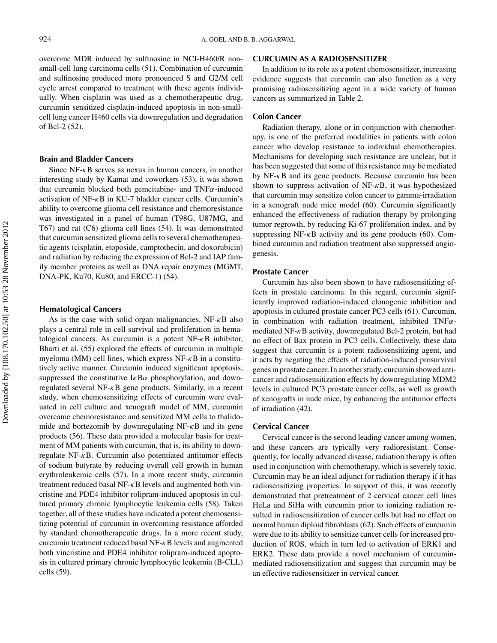overcome MDR induced by sulfinosine in NCI-H460/R nonsmall-cell lung carcinoma cells (51). Combination of curcumin and sulfinosine produced more pronounced S and G2/M cell cycle arrest compared to treatment with these agents individually. When cisplatin was used as a chemotherapeutic drug, curcumin sensitized cisplatin-induced apoptosis in non-smallcell lung cancer H460 cells via downregulation and degradation of Bcl-2 (52).

#### **Brain and Bladder Cancers**

Since NF-*κ*B serves as nexus in human cancers, in another interesting study by Kamat and coworkers (53), it was shown that curcumin blocked both gemcitabine- and TNF*α*-induced activation of NF-*κ*B in KU-7 bladder cancer cells. Curcumin's ability to overcome glioma cell resistance and chemoresistance was investigated in a panel of human (T98G, U87MG, and T67) and rat (C6) glioma cell lines (54). It was demonstrated that curcumin sensitized glioma cells to several chemotherapeutic agents (cisplatin, etoposide, camptothecin, and doxorubicin) and radiation by reducing the expression of Bcl-2 and IAP family member proteins as well as DNA repair enzymes (MGMT, DNA-PK, Ku70, Ku80, and ERCC-1) (54).

#### **Hematological Cancers**

As is the case with solid organ malignancies, NF-*κ*B also plays a central role in cell survival and proliferation in hematological cancers. As curcumin is a potent NF-*κ*B inhibitor, Bharti et al. (55) explored the effects of curcumin in multiple myeloma (MM) cell lines, which express NF-*κ*B in a constitutively active manner. Curcumin induced significant apoptosis, suppressed the constitutive I*κ*B*α* phosphorylation, and downregulated several NF-*κ*B gene products. Similarly, in a recent study, when chemosensitizing effects of curcumin were evaluated in cell culture and xenograft model of MM, curcumin overcame chemoresistance and sensitized MM cells to thalidomide and bortezomib by downregulating NF-*κ*B and its gene products (56). These data provided a molecular basis for treatment of MM patients with curcumin, that is, its ability to downregulate NF-*κ*B. Curcumin also potentiated antitumor effects of sodium butyrate by reducing overall cell growth in human erythroleukemic cells (57). In a more recent study, curcumin treatment reduced basal NF-*κ*B levels and augmented both vincristine and PDE4 inhibitor rolipram-induced apoptosis in cultured primary chronic lymphocytic leukemia cells (58). Taken together, all of these studies have indicated a potent chemosensitizing potential of curcumin in overcoming resistance afforded by standard chemotherapeutic drugs. In a more recent study, curcumin treatment reduced basal NF-*κ*B levels and augmented both vincristine and PDE4 inhibitor rolipram-induced apoptosis in cultured primary chronic lymphocytic leukemia (B-CLL) cells (59).

#### **CURCUMIN AS A RADIOSENSITIZER**

In addition to its role as a potent chemosensitizer, increasing evidence suggests that curcumin can also function as a very promising radiosensitizing agent in a wide variety of human cancers as summarized in Table 2.

#### **Colon Cancer**

Radiation therapy, alone or in conjunction with chemotherapy, is one of the preferred modalities in patients with colon cancer who develop resistance to individual chemotherapies. Mechanisms for developing such resistance are unclear, but it has been suggested that some of this resistance may be mediated by NF-*κ*B and its gene products. Because curcumin has been shown to suppress activation of NF-*κ*B, it was hypothesized that curcumin may sensitize colon cancer to gamma-irradiation in a xenograft nude mice model (60). Curcumin significantly enhanced the effectiveness of radiation therapy by prolonging tumor regrowth, by reducing Ki-67 proliferation index, and by suppressing NF-*κ*B activity and its gene products (60). Combined curcumin and radiation treatment also suppressed angiogenesis.

#### **Prostate Cancer**

Curcumin has also been shown to have radiosensitizing effects in prostate carcinoma. In this regard, curcumin significantly improved radiation-induced clonogenic inhibition and apoptosis in cultured prostate cancer PC3 cells (61). Curcumin, in combination with radiation treatment, inhibited TNF*α*mediated NF-*κ*B activity, downregulated Bcl-2 protein, but had no effect of Bax protein in PC3 cells. Collectively, these data suggest that curcumin is a potent radiosensitizing agent, and it acts by negating the effects of radiation-induced prosurvival genes in prostate cancer. In another study, curcumin showed anticancer and radiosensitization effects by downregulating MDM2 levels in cultured PC3 prostate cancer cells, as well as growth of xenografts in nude mice, by enhancing the antitumor effects of irradiation (42).

#### **Cervical Cancer**

Cervical cancer is the second leading cancer among women, and these cancers are typically very radioresistant. Consequently, for locally advanced disease, radiation therapy is often used in conjunction with chemotherapy, which is severely toxic. Curcumin may be an ideal adjunct for radiation therapy if it has radiosensitizing properties. In support of this, it was recently demonstrated that pretreatment of 2 cervical cancer cell lines HeLa and SiHa with curcumin prior to ionizing radiation resulted in radiosensitization of cancer cells but had no effect on normal human diploid fibroblasts (62). Such effects of curcumin were due to its ability to sensitize cancer cells for increased production of ROS, which in turn led to activation of ERK1 and ERK2. These data provide a novel mechanism of curcuminmediated radiosensitization and suggest that curcumin may be an effective radiosensitizer in cervical cancer.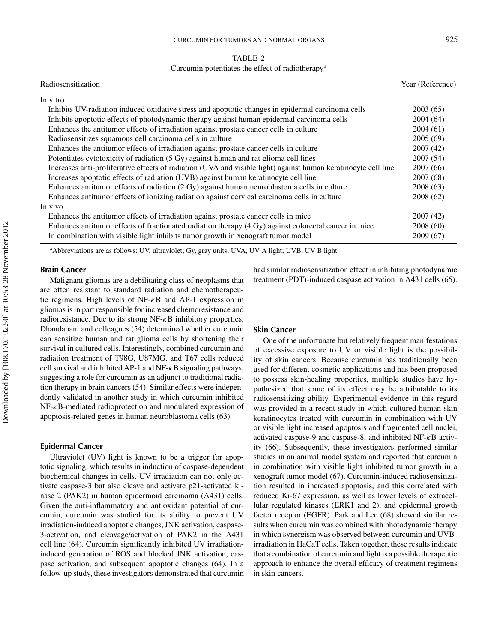| TABLE 2                                                                   |  |  |  |  |
|---------------------------------------------------------------------------|--|--|--|--|
| Curcumin potentiates the effect of radiotherapy <sup><math>a</math></sup> |  |  |  |  |

| Radiosensitization                                                                                             | Year (Reference) |
|----------------------------------------------------------------------------------------------------------------|------------------|
| In vitro                                                                                                       |                  |
| Inhibits UV-radiation induced oxidative stress and apoptotic changes in epidermal carcinoma cells              | 2003(65)         |
| Inhibits apoptotic effects of photodynamic therapy against human epidermal carcinoma cells                     | 2004(64)         |
| Enhances the antitumor effects of irradiation against prostate cancer cells in culture                         | 2004(61)         |
| Radiosensitizes squamous cell carcinoma cells in culture                                                       | 2005(69)         |
| Enhances the antitumor effects of irradiation against prostate cancer cells in culture                         | 2007(42)         |
| Potentiates cytotoxicity of radiation (5 Gy) against human and rat glioma cell lines                           | 2007(54)         |
| Increases anti-proliferative effects of radiation (UVA and visible light) against human keratinocyte cell line | 2007(66)         |
| Increases apoptotic effects of radiation (UVB) against human keratinocyte cell line                            | 2007(68)         |
| Enhances antitumor effects of radiation (2 Gy) against human neuroblastoma cells in culture                    | 2008(63)         |
| Enhances antitumor effects of ionizing radiation against cervical carcinoma cells in culture                   | 2008(62)         |
| In vivo                                                                                                        |                  |
| Enhances the antitumor effects of irradiation against prostate cancer cells in mice                            | 2007(42)         |
| Enhances antitumor effects of fractionated radiation therapy (4 Gy) against colorectal cancer in mice          | 2008(60)         |
| In combination with visible light inhibits tumor growth in xenograft tumor model                               | 2009(67)         |

*a* Abbreviations are as follows: UV, ultraviolet; Gy, gray units; UVA, UV A light; UVB, UV B light.

#### **Brain Cancer**

Malignant gliomas are a debilitating class of neoplasms that are often resistant to standard radiation and chemotherapeutic regimens. High levels of NF-*κ*B and AP-1 expression in gliomas is in part responsible for increased chemoresistance and radioresistance. Due to its strong NF-*κ*B inhibitory properties, Dhandapani and colleagues (54) determined whether curcumin can sensitize human and rat glioma cells by shortening their survival in cultured cells. Interestingly, combined curcumin and radiation treatment of T98G, U87MG, and T67 cells reduced cell survival and inhibited AP-1 and NF-*κ*B signaling pathways, suggesting a role for curcumin as an adjunct to traditional radiation therapy in brain cancers (54). Similar effects were independently validated in another study in which curcumin inhibited NF-*κ*B-mediated radioprotection and modulated expression of apoptosis-related genes in human neuroblastoma cells (63).

#### **Epidermal Cancer**

Ultraviolet (UV) light is known to be a trigger for apoptotic signaling, which results in induction of caspase-dependent biochemical changes in cells. UV irradiation can not only activate caspase-3 but also cleave and activate p21-activated kinase 2 (PAK2) in human epidermoid carcinoma (A431) cells. Given the anti-inflammatory and antioxidant potential of curcumin, curcumin was studied for its ability to prevent UV irradiation-induced apoptotic changes, JNK activation, caspase-3-activation, and cleavage/activation of PAK2 in the A431 cell line (64). Curcumin significantly inhibited UV irradiationinduced generation of ROS and blocked JNK activation, caspase activation, and subsequent apoptotic changes (64). In a follow-up study, these investigators demonstrated that curcumin had similar radiosensitization effect in inhibiting photodynamic treatment (PDT)-induced caspase activation in A431 cells (65).

#### **Skin Cancer**

One of the unfortunate but relatively frequent manifestations of excessive exposure to UV or visible light is the possibility of skin cancers. Because curcumin has traditionally been used for different cosmetic applications and has been proposed to possess skin-healing properties, multiple studies have hypothesized that some of its effect may be attributable to its radiosensitizing ability. Experimental evidence in this regard was provided in a recent study in which cultured human skin keratinocytes treated with curcumin in combination with UV or visible light increased apoptosis and fragmented cell nuclei, activated caspase-9 and caspase-8, and inhibited NF-*κ*B activity (66). Subsequently, these investigators performed similar studies in an animal model system and reported that curcumin in combination with visible light inhibited tumor growth in a xenograft tumor model (67). Curcumin-induced radiosensitization resulted in increased apoptosis, and this correlated with reduced Ki-67 expression, as well as lower levels of extracellular regulated kinases (ERK1 and 2), and epidermal growth factor receptor (EGFR). Park and Lee (68) showed similar results when curcumin was combined with photodynamic therapy in which synergism was observed between curcumin and UVBirradiation in HaCaT cells. Taken together, these results indicate that a combination of curcumin and light is a possible therapeutic approach to enhance the overall efficacy of treatment regimens in skin cancers.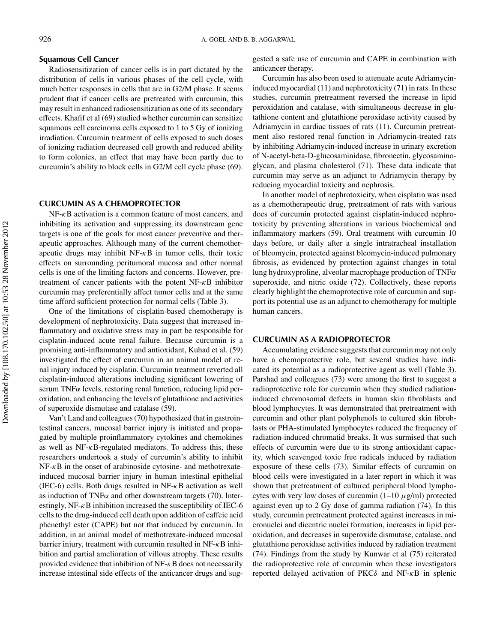#### **Squamous Cell Cancer**

Radiosensitization of cancer cells is in part dictated by the distribution of cells in various phases of the cell cycle, with much better responses in cells that are in G2/M phase. It seems prudent that if cancer cells are pretreated with curcumin, this may result in enhanced radiosensitization as one of its secondary effects. Khafif et al (69) studied whether curcumin can sensitize squamous cell carcinoma cells exposed to 1 to 5 Gy of ionizing irradiation. Curcumin treatment of cells exposed to such doses of ionizing radiation decreased cell growth and reduced ability to form colonies, an effect that may have been partly due to curcumin's ability to block cells in G2/M cell cycle phase (69).

#### **CURCUMIN AS A CHEMOPROTECTOR**

NF-*κ*B activation is a common feature of most cancers, and inhibiting its activation and suppressing its downstream gene targets is one of the goals for most cancer preventive and therapeutic approaches. Although many of the current chemotherapeutic drugs may inhibit NF-*κ*B in tumor cells, their toxic effects on surrounding peritumoral mucosa and other normal cells is one of the limiting factors and concerns. However, pretreatment of cancer patients with the potent NF-*κ*B inhibitor curcumin may preferentially affect tumor cells and at the same time afford sufficient protection for normal cells (Table 3).

One of the limitations of cisplatin-based chemotherapy is development of nephrotoxicity. Data suggest that increased inflammatory and oxidative stress may in part be responsible for cisplatin-induced acute renal failure. Because curcumin is a promising anti-inflammatory and antioxidant, Kuhad et al. (59) investigated the effect of curcumin in an animal model of renal injury induced by cisplatin. Curcumin treatment reverted all cisplatin-induced alterations including significant lowering of serum TNF*α* levels, restoring renal function, reducing lipid peroxidation, and enhancing the levels of glutathione and activities of superoxide dismutase and catalase (59).

Van't Land and colleagues (70) hypothesized that in gastrointestinal cancers, mucosal barrier injury is initiated and propagated by multiple proinflammatory cytokines and chemokines as well as NF-*κ*B-regulated mediators. To address this, these researchers undertook a study of curcumin's ability to inhibit NF-*κ*B in the onset of arabinoside cytosine- and methotrexateinduced mucosal barrier injury in human intestinal epithelial (IEC-6) cells. Both drugs resulted in NF-*κ*B activation as well as induction of TNF*α* and other downstream targets (70). Interestingly, NF-*κ*B inhibition increased the susceptibility of IEC-6 cells to the drug-induced cell death upon addition of caffeic acid phenethyl ester (CAPE) but not that induced by curcumin. In addition, in an animal model of methotrexate-induced mucosal barrier injury, treatment with curcumin resulted in NF-*κ*B inhibition and partial amelioration of villous atrophy. These results provided evidence that inhibition of NF-*κ*B does not necessarily increase intestinal side effects of the anticancer drugs and sug-

gested a safe use of curcumin and CAPE in combination with anticancer therapy.

Curcumin has also been used to attenuate acute Adriamycininduced myocardial (11) and nephrotoxicity (71) in rats. In these studies, curcumin pretreatment reversed the increase in lipid peroxidation and catalase, with simultaneous decrease in glutathione content and glutathione peroxidase activity caused by Adriamycin in cardiac tissues of rats (11). Curcumin pretreatment also restored renal function in Adriamycin-treated rats by inhibiting Adriamycin-induced increase in urinary excretion of N-acetyl-beta-D-glucosaminidase, fibronectin, glycosaminoglycan, and plasma cholesterol (71). These data indicate that curcumin may serve as an adjunct to Adriamycin therapy by reducing myocardial toxicity and nephrosis.

In another model of nephrotoxicity, when cisplatin was used as a chemotherapeutic drug, pretreatment of rats with various does of curcumin protected against cisplatin-induced nephrotoxicity by preventing alterations in various biochemical and inflammatory markers (59). Oral treatment with curcumin 10 days before, or daily after a single intratracheal installation of bleomycin, protected against bleomycin-induced pulmonary fibrosis, as evidenced by protection against changes in total lung hydroxyproline, alveolar macrophage production of TNF*α* superoxide, and nitric oxide (72). Collectively, these reports clearly highlight the chemoprotective role of curcumin and support its potential use as an adjunct to chemotherapy for multiple human cancers.

### **CURCUMIN AS A RADIOPROTECTOR**

Accumulating evidence suggests that curcumin may not only have a chemoprotective role, but several studies have indicated its potential as a radioprotective agent as well (Table 3). Parshad and colleagues (73) were among the first to suggest a radioprotective role for curcumin when they studied radiationinduced chromosomal defects in human skin fibroblasts and blood lymphocytes. It was demonstrated that pretreatment with curcumin and other plant polyphenols to cultured skin fibroblasts or PHA-stimulated lymphocytes reduced the frequency of radiation-induced chromatid breaks. It was surmised that such effects of curcumin were due to its strong antioxidant capacity, which scavenged toxic free radicals induced by radiation exposure of these cells (73). Similar effects of curcumin on blood cells were investigated in a later report in which it was shown that pretreatment of cultured peripheral blood lymphocytes with very low doses of curcumin  $(1-10 \ \mu g/ml)$  protected against even up to 2 Gy dose of gamma radiation (74). In this study, curcumin pretreatment protected against increases in micronuclei and dicentric nuclei formation, increases in lipid peroxidation, and decreases in superoxide dismutase, catalase, and glutathione peroxidase activities induced by radiation treatment (74). Findings from the study by Kunwar et al (75) reiterated the radioprotective role of curcumin when these investigators reported delayed activation of PKC*δ* and NF-*κ*B in splenic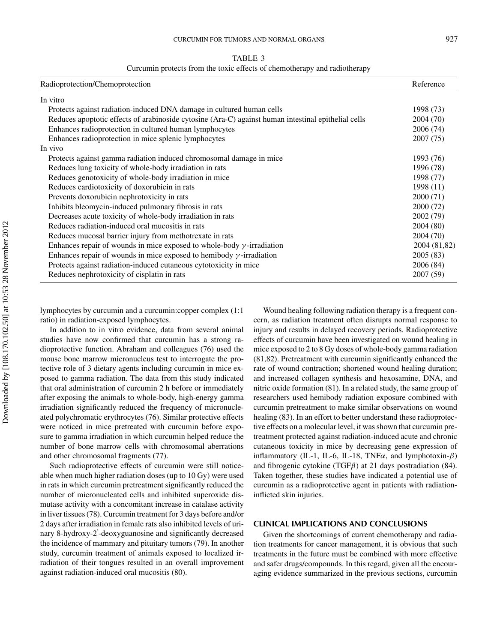|                                                                           | TABLE 3 |  |  |
|---------------------------------------------------------------------------|---------|--|--|
| Curcumin protects from the toxic effects of chemotherapy and radiotherapy |         |  |  |

| Radioprotection/Chemoprotection                                                                     | Reference    |  |
|-----------------------------------------------------------------------------------------------------|--------------|--|
| In vitro                                                                                            |              |  |
| Protects against radiation-induced DNA damage in cultured human cells                               | 1998 (73)    |  |
| Reduces apoptotic effects of arabinoside cytosine (Ara-C) against human intestinal epithelial cells | 2004 (70)    |  |
| Enhances radioprotection in cultured human lymphocytes                                              | 2006 (74)    |  |
| Enhances radioprotection in mice splenic lymphocytes                                                | 2007(75)     |  |
| In vivo                                                                                             |              |  |
| Protects against gamma radiation induced chromosomal damage in mice                                 | 1993 (76)    |  |
| Reduces lung toxicity of whole-body irradiation in rats                                             | 1996 (78)    |  |
| Reduces genotoxicity of whole-body irradiation in mice                                              | 1998 (77)    |  |
| Reduces cardiotoxicity of doxorubicin in rats                                                       | 1998 (11)    |  |
| Prevents doxorubicin nephrotoxicity in rats                                                         | 2000(71)     |  |
| Inhibits bleomycin-induced pulmonary fibrosis in rats                                               | 2000 (72)    |  |
| Decreases acute toxicity of whole-body irradiation in rats                                          | 2002 (79)    |  |
| Reduces radiation-induced oral mucositis in rats                                                    | 2004 (80)    |  |
| Reduces mucosal barrier injury from methotrexate in rats                                            | 2004 (70)    |  |
| Enhances repair of wounds in mice exposed to whole-body $\gamma$ -irradiation                       | 2004 (81,82) |  |
| Enhances repair of wounds in mice exposed to hemibody $\gamma$ -irradiation                         | 2005(83)     |  |
| Protects against radiation-induced cutaneous cytotoxicity in mice                                   |              |  |
| Reduces nephrotoxicity of cisplatin in rats                                                         | 2007 (59)    |  |

lymphocytes by curcumin and a curcumin:copper complex (1:1 ratio) in radiation-exposed lymphocytes.

In addition to in vitro evidence, data from several animal studies have now confirmed that curcumin has a strong radioprotective function. Abraham and colleagues (76) used the mouse bone marrow micronucleus test to interrogate the protective role of 3 dietary agents including curcumin in mice exposed to gamma radiation. The data from this study indicated that oral administration of curcumin 2 h before or immediately after exposing the animals to whole-body, high-energy gamma irradiation significantly reduced the frequency of micronucleated polychromatic erythrocytes (76). Similar protective effects were noticed in mice pretreated with curcumin before exposure to gamma irradiation in which curcumin helped reduce the number of bone marrow cells with chromosomal aberrations and other chromosomal fragments (77).

Such radioprotective effects of curcumin were still noticeable when much higher radiation doses (up to 10 Gy) were used in rats in which curcumin pretreatment significantly reduced the number of micronucleated cells and inhibited superoxide dismutase activity with a concomitant increase in catalase activity in liver tissues (78). Curcumin treatment for 3 days before and/or 2 days after irradiation in female rats also inhibited levels of urinary 8-hydroxy-2 -deoxyguanosine and significantly decreased the incidence of mammary and pituitary tumors (79). In another study, curcumin treatment of animals exposed to localized irradiation of their tongues resulted in an overall improvement against radiation-induced oral mucositis (80).

Wound healing following radiation therapy is a frequent concern, as radiation treatment often disrupts normal response to injury and results in delayed recovery periods. Radioprotective effects of curcumin have been investigated on wound healing in mice exposed to 2 to 8 Gy doses of whole-body gamma radiation (81,82). Pretreatment with curcumin significantly enhanced the rate of wound contraction; shortened wound healing duration; and increased collagen synthesis and hexosamine, DNA, and nitric oxide formation (81). In a related study, the same group of researchers used hemibody radiation exposure combined with curcumin pretreatment to make similar observations on wound healing (83). In an effort to better understand these radioprotective effects on a molecular level, it was shown that curcumin pretreatment protected against radiation-induced acute and chronic cutaneous toxicity in mice by decreasing gene expression of inflammatory (IL-1, IL-6, IL-18, TNF*α*, and lymphotoxin-*β*) and fibrogenic cytokine (TGF*β*) at 21 days postradiation (84). Taken together, these studies have indicated a potential use of curcumin as a radioprotective agent in patients with radiationinflicted skin injuries.

#### **CLINICAL IMPLICATIONS AND CONCLUSIONS**

Given the shortcomings of current chemotherapy and radiation treatments for cancer management, it is obvious that such treatments in the future must be combined with more effective and safer drugs/compounds. In this regard, given all the encouraging evidence summarized in the previous sections, curcumin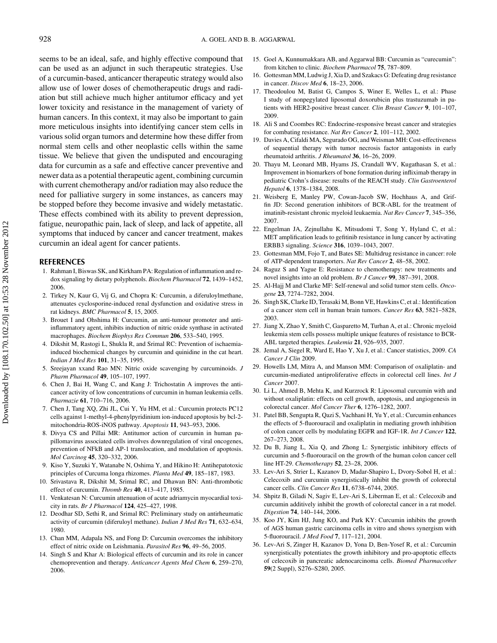seems to be an ideal, safe, and highly effective compound that can be used as an adjunct in such therapeutic strategies. Use of a curcumin-based, anticancer therapeutic strategy would also allow use of lower doses of chemotherapeutic drugs and radiation but still achieve much higher antitumor efficacy and yet lower toxicity and resistance in the management of variety of human cancers. In this context, it may also be important to gain more meticulous insights into identifying cancer stem cells in various solid organ tumors and determine how these differ from normal stem cells and other neoplastic cells within the same tissue. We believe that given the undisputed and encouraging data for curcumin as a safe and effective cancer preventive and newer data as a potential therapeutic agent, combining curcumin with current chemotherapy and/or radiation may also reduce the need for palliative surgery in some instances, as cancers may be stopped before they become invasive and widely metastatic. These effects combined with its ability to prevent depression, fatigue, neuropathic pain, lack of sleep, and lack of appetite, all symptoms that induced by cancer and cancer treatment, makes curcumin an ideal agent for cancer patients.

#### **REFERENCES**

- 1. Rahman I, Biswas SK, and Kirkham PA: Regulation of inflammation and redox signaling by dietary polyphenols. *Biochem Pharmacol* **72**, 1439–1452, 2006.
- 2. Tirkey N, Kaur G, Vij G, and Chopra K: Curcumin, a diferuloylmethane, attenuates cyclosporine-induced renal dysfunction and oxidative stress in rat kidneys. *BMC Pharmacol* **5**, 15, 2005.
- 3. Brouet I and Ohshima H: Curcumin, an anti-tumour promoter and antiinflammatory agent, inhibits induction of nitric oxide synthase in activated macrophages. *Biochem Biophys Res Commun* **206**, 533–540, 1995.
- 4. Dikshit M, Rastogi L, Shukla R, and Srimal RC: Prevention of ischaemiainduced biochemical changes by curcumin and quinidine in the cat heart. *Indian J Med Res* **101**, 31–35, 1995.
- 5. Sreejayan xxand Rao MN: Nitric oxide scavenging by curcuminoids. *J Pharm Pharmacol* **49**, 105–107, 1997.
- 6. Chen J, Bai H, Wang C, and Kang J: Trichostatin A improves the anticancer activity of low concentrations of curcumin in human leukemia cells. *Pharmazie* **61**, 710–716, 2006.
- 7. Chen J, Tang XQ, Zhi JL, Cui Y, Yu HM, et al.: Curcumin protects PC12 cells against 1-methyl-4-phenylpyridinium ion-induced apoptosis by bcl-2 mitochondria-ROS-iNOS pathway. *Apoptosis* **11**, 943–953, 2006.
- 8. Divya CS and Pillai MR: Antitumor action of curcumin in human papillomavirus associated cells involves downregulation of viral oncogenes, prevention of NFkB and AP-1 translocation, and modulation of apoptosis. *Mol Carcinog* **45**, 320–332, 2006.
- 9. Kiso Y, Suzuki Y, Watanabe N, Oshima Y, and Hikino H: Antihepatotoxic principles of Curcuma longa rhizomes. *Planta Med* **49**, 185–187, 1983.
- 10. Srivastava R, Dikshit M, Srimal RC, and Dhawan BN: Anti-thrombotic effect of curcumin. *Thromb Res* **40**, 413–417, 1985.
- 11. Venkatesan N: Curcumin attenuation of acute adriamycin myocardial toxicity in rats. *Br J Pharmacol* **124**, 425–427, 1998.
- 12. Deodhar SD, Sethi R, and Srimal RC: Preliminary study on antirheumatic activity of curcumin (diferuloyl methane). *Indian J Med Res* **71**, 632–634, 1980.
- 13. Chan MM, Adapala NS, and Fong D: Curcumin overcomes the inhibitory effect of nitric oxide on Leishmania. *Parasitol Res* **96**, 49–56, 2005.
- 14. Singh S and Khar A: Biological effects of curcumin and its role in cancer chemoprevention and therapy. *Anticancer Agents Med Chem* **6**, 259–270, 2006.
- 15. Goel A, Kunnumakkara AB, and Aggarwal BB: Curcumin as "curecumin": from kitchen to clinic. *Biochem Pharmacol* **75**, 787–809.
- 16. Gottesman MM, Ludwig J, Xia D, and Szakacs G: Defeating drug resistance in cancer. *Discov Med* **6**, 18–23, 2006.
- 17. Theodoulou M, Batist G, Campos S, Winer E, Welles L, et al.: Phase I study of nonpegylated liposomal doxorubicin plus trastuzumab in patients with HER2-positive breast cancer. *Clin Breast Cancer* **9**, 101–107, 2009.
- 18. Ali S and Coombes RC: Endocrine-responsive breast cancer and strategies for combating resistance. *Nat Rev Cancer* **2**, 101–112, 2002.
- 19. Davies A, Cifaldi MA, Segurado OG, and Weisman MH: Cost-effectiveness of sequential therapy with tumor necrosis factor antagonists in early rheumatoid arthritis. *J Rheumatol* **36**, 16–26, 2009.
- 20. Thayu M, Leonard MB, Hyams JS, Crandall WV, Kugathasan S, et al.: Improvement in biomarkers of bone formation during infliximab therapy in pediatric Crohn's disease: results of the REACH study. *Clin Gastroenterol Hepatol* **6**, 1378–1384, 2008.
- 21. Weisberg E, Manley PW, Cowan-Jacob SW, Hochhaus A, and Griffin JD: Second generation inhibitors of BCR-ABL for the treatment of imatinib-resistant chronic myeloid leukaemia. *Nat Rev Cancer* **7**, 345–356, 2007.
- 22. Engelman JA, Zejnullahu K, Mitsudomi T, Song Y, Hyland C, et al.: MET amplification leads to gefitinib resistance in lung cancer by activating ERBB3 signaling. *Science* **316**, 1039–1043, 2007.
- 23. Gottesman MM, Fojo T, and Bates SE: Multidrug resistance in cancer: role of ATP-dependent transporters. *Nat Rev Cancer* **2**, 48–58, 2002.
- 24. Raguz S and Yague E: Resistance to chemotherapy: new treatments and novel insights into an old problem. *Br J Cancer* **99**, 387–391, 2008.
- 25. Al-Hajj M and Clarke MF: Self-renewal and solid tumor stem cells. *Oncogene* **23**, 7274–7282, 2004.
- 26. Singh SK, Clarke ID, Terasaki M, Bonn VE, Hawkins C, et al.: Identification of a cancer stem cell in human brain tumors. *Cancer Res* **63**, 5821–5828, 2003.
- 27. Jiang X, Zhao Y, Smith C, Gasparetto M, Turhan A, et al.: Chronic myeloid leukemia stem cells possess multiple unique features of resistance to BCR-ABL targeted therapies. *Leukemia* **21**, 926–935, 2007.
- 28. Jemal A, Siegel R, Ward E, Hao Y, Xu J, et al.: Cancer statistics, 2009. *CA Cancer J Clin* 2009.
- 29. Howells LM, Mitra A, and Manson MM: Comparison of oxaliplatin- and curcumin-mediated antiproliferative effects in colorectal cell lines. *Int J Cancer* 2007.
- 30. Li L, Ahmed B, Mehta K, and Kurzrock R: Liposomal curcumin with and without oxaliplatin: effects on cell growth, apoptosis, and angiogenesis in colorectal cancer. *Mol Cancer Ther* **6**, 1276–1282, 2007.
- 31. Patel BB, Sengupta R, Qazi S, Vachhani H, Yu Y, et al.: Curcumin enhances the effects of 5-fluorouracil and oxaliplatin in mediating growth inhibition of colon cancer cells by modulating EGFR and IGF-1R. *Int J Cancer* **122**, 267–273, 2008.
- 32. Du B, Jiang L, Xia Q, and Zhong L: Synergistic inhibitory effects of curcumin and 5-fluorouracil on the growth of the human colon cancer cell line HT-29. *Chemotherapy* **52**, 23–28, 2006.
- 33. Lev-Ari S, Strier L, Kazanov D, Madar-Shapiro L, Dvory-Sobol H, et al.: Celecoxib and curcumin synergistically inhibit the growth of colorectal cancer cells. *Clin Cancer Res* **11**, 6738–6744, 2005.
- 34. Shpitz B, Giladi N, Sagiv E, Lev-Ari S, Liberman E, et al.: Celecoxib and curcumin additively inhibit the growth of colorectal cancer in a rat model. *Digestion* **74**, 140–144, 2006.
- 35. Koo JY, Kim HJ, Jung KO, and Park KY: Curcumin inhibits the growth of AGS human gastric carcinoma cells in vitro and shows synergism with 5-fluorouracil. *J Med Food* **7**, 117–121, 2004.
- 36. Lev-Ari S, Zinger H, Kazanov D, Yona D, Ben-Yosef R, et al.: Curcumin synergistically potentiates the growth inhibitory and pro-apoptotic effects of celecoxib in pancreatic adenocarcinoma cells. *Biomed Pharmacother* **59**(2 Suppl), S276–S280, 2005.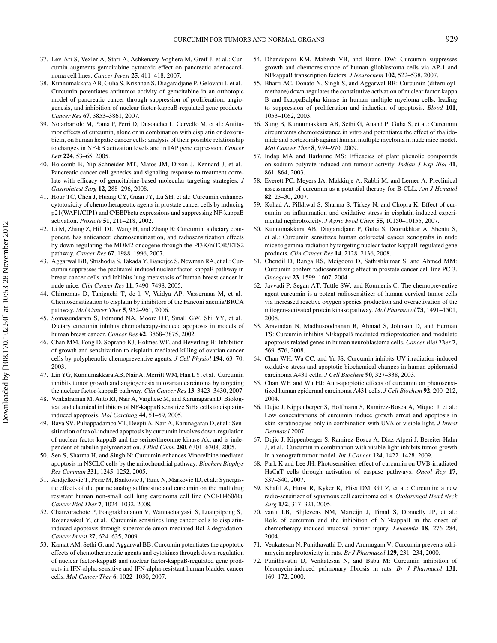- 37. Lev-Ari S, Vexler A, Starr A, Ashkenazy-Voghera M, Greif J, et al.: Curcumin augments gemcitabine cytotoxic effect on pancreatic adenocarcinoma cell lines. *Cancer Invest* **25**, 411–418, 2007.
- 38. Kunnumakkara AB, Guha S, Krishnan S, Diagaradjane P, Gelovani J, et al.: Curcumin potentiates antitumor activity of gemcitabine in an orthotopic model of pancreatic cancer through suppression of proliferation, angiogenesis, and inhibition of nuclear factor-kappaB-regulated gene products. *Cancer Res* **67**, 3853–3861, 2007.
- 39. Notarbartolo M, Poma P, Perri D, Dusonchet L, Cervello M, et al.: Antitumor effects of curcumin, alone or in combination with cisplatin or doxorubicin, on human hepatic cancer cells: analysis of their possible relationship to changes in NF-kB activation levels and in IAP gene expression. *Cancer Lett* **224**, 53–65, 2005.
- 40. Holcomb B, Yip-Schneider MT, Matos JM, Dixon J, Kennard J, et al.: Pancreatic cancer cell genetics and signaling response to treatment correlate with efficacy of gemcitabine-based molecular targeting strategies. *J Gastrointest Surg* **12**, 288–296, 2008.
- 41. Hour TC, Chen J, Huang CY, Guan JY, Lu SH, et al.: Curcumin enhances cytotoxicity of chemotherapeutic agents in prostate cancer cells by inducing p21(WAF1/CIP1) and C/EBPbeta expressions and suppressing NF-kappaB activation. *Prostate* **51**, 211–218, 2002.
- 42. Li M, Zhang Z, Hill DL, Wang H, and Zhang R: Curcumin, a dietary component, has anticancer, chemosensitization, and radiosensitization effects by down-regulating the MDM2 oncogene through the PI3K/mTOR/ETS2 pathway. *Cancer Res* **67**, 1988–1996, 2007.
- 43. Aggarwal BB, Shishodia S, Takada Y, Banerjee S, Newman RA, et al.: Curcumin suppresses the paclitaxel-induced nuclear factor-kappaB pathway in breast cancer cells and inhibits lung metastasis of human breast cancer in nude mice. *Clin Cancer Res* **11**, 7490–7498, 2005.
- 44. Chirnomas D, Taniguchi T, de l, V, Vaidya AP, Vasserman M, et al.: Chemosensitization to cisplatin by inhibitors of the Fanconi anemia/BRCA pathway. *Mol Cancer Ther* **5**, 952–961, 2006.
- 45. Somasundaram S, Edmund NA, Moore DT, Small GW, Shi YY, et al.: Dietary curcumin inhibits chemotherapy-induced apoptosis in models of human breast cancer. *Cancer Res* **62**, 3868–3875, 2002.
- 46. Chan MM, Fong D, Soprano KJ, Holmes WF, and Heverling H: Inhibition of growth and sensitization to cisplatin-mediated killing of ovarian cancer cells by polyphenolic chemopreventive agents. *J Cell Physiol* **194**, 63–70, 2003.
- 47. Lin YG, Kunnumakkara AB, Nair A, Merritt WM, Han LY, et al.: Curcumin inhibits tumor growth and angiogenesis in ovarian carcinoma by targeting the nuclear factor-kappaB pathway. *Clin Cancer Res* **13**, 3423–3430, 2007.
- 48. Venkatraman M, Anto RJ, Nair A, Varghese M, and Karunagaran D: Biological and chemical inhibitors of NF-kappaB sensitize SiHa cells to cisplatininduced apoptosis. *Mol Carcinog* **44**, 51–59, 2005.
- 49. Bava SV, Puliappadamba VT, Deepti A, Nair A, Karunagaran D, et al.: Sensitization of taxol-induced apoptosis by curcumin involves down-regulation of nuclear factor-kappaB and the serine/threonine kinase Akt and is independent of tubulin polymerization. *J Biol Chem* **280**, 6301–6308, 2005.
- 50. Sen S, Sharma H, and Singh N: Curcumin enhances Vinorelbine mediated apoptosis in NSCLC cells by the mitochondrial pathway. *Biochem Biophys Res Commun* **331**, 1245–1252, 2005.
- 51. Andjelkovic T, Pesic M, Bankovic J, Tanic N, Markovic ID, et al.: Synergistic effects of the purine analog sulfinosine and curcumin on the multidrug resistant human non-small cell lung carcinoma cell line (NCI-H460/R). *Cancer Biol Ther* **7**, 1024–1032, 2008.
- 52. Chanvorachote P, Pongrakhananon V, Wannachaiyasit S, Luanpitpong S, Rojanasakul Y, et al.: Curcumin sensitizes lung cancer cells to cisplatininduced apoptosis through superoxide anion-mediated Bcl-2 degradation. *Cancer Invest* **27**, 624–635, 2009.
- 53. Kamat AM, Sethi G, and Aggarwal BB: Curcumin potentiates the apoptotic effects of chemotherapeutic agents and cytokines through down-regulation of nuclear factor-kappaB and nuclear factor-kappaB-regulated gene products in IFN-alpha-sensitive and IFN-alpha-resistant human bladder cancer cells. *Mol Cancer Ther* **6**, 1022–1030, 2007.
- 54. Dhandapani KM, Mahesh VB, and Brann DW: Curcumin suppresses growth and chemoresistance of human glioblastoma cells via AP-1 and NFkappaB transcription factors. *J Neurochem* **102**, 522–538, 2007.
- 55. Bharti AC, Donato N, Singh S, and Aggarwal BB: Curcumin (diferuloylmethane) down-regulates the constitutive activation of nuclear factor-kappa B and IkappaBalpha kinase in human multiple myeloma cells, leading to suppression of proliferation and induction of apoptosis. *Blood* **101**, 1053–1062, 2003.
- 56. Sung B, Kunnumakkara AB, Sethi G, Anand P, Guha S, et al.: Curcumin circumvents chemoresistance in vitro and potentiates the effect of thalidomide and bortezomib against human multiple myeloma in nude mice model. *Mol Cancer Ther* **8**, 959–970, 2009.
- 57. Indap MA and Barkume MS: Efficacies of plant phenolic compounds on sodium butyrate induced anti-tumour activity. *Indian J Exp Biol* **41**, 861–864, 2003.
- 58. Everett PC, Meyers JA, Makkinje A, Rabbi M, and Lerner A: Preclinical assessment of curcumin as a potential therapy for B-CLL. *Am J Hematol* **82**, 23–30, 2007.
- 59. Kuhad A, Pilkhwal S, Sharma S, Tirkey N, and Chopra K: Effect of curcumin on inflammation and oxidative stress in cisplatin-induced experimental nephrotoxicity. *J Agric Food Chem* **55**, 10150–10155, 2007.
- 60. Kunnumakkara AB, Diagaradjane P, Guha S, Deorukhkar A, Shentu S, et al.: Curcumin sensitizes human colorectal cancer xenografts in nude mice to gamma-radiation by targeting nuclear factor-kappaB-regulated gene products. *Clin Cancer Res* **14**, 2128–2136, 2008.
- 61. Chendil D, Ranga RS, Meigooni D, Sathishkumar S, and Ahmed MM: Curcumin confers radiosensitizing effect in prostate cancer cell line PC-3. *Oncogene* **23**, 1599–1607, 2004.
- 62. Javvadi P, Segan AT, Tuttle SW, and Koumenis C: The chemopreventive agent curcumin is a potent radiosensitizer of human cervical tumor cells via increased reactive oxygen species production and overactivation of the mitogen-activated protein kinase pathway. *Mol Pharmacol* **73**, 1491–1501, 2008.
- 63. Aravindan N, Madhusoodhanan R, Ahmad S, Johnson D, and Herman TS: Curcumin inhibits NFkappaB mediated radioprotection and modulate apoptosis related genes in human neuroblastoma cells. *Cancer Biol Ther* **7**, 569–576, 2008.
- 64. Chan WH, Wu CC, and Yu JS: Curcumin inhibits UV irradiation-induced oxidative stress and apoptotic biochemical changes in human epidermoid carcinoma A431 cells. *J Cell Biochem* **90**, 327–338, 2003.
- 65. Chan WH and Wu HJ: Anti-apoptotic effects of curcumin on photosensitized human epidermal carcinoma A431 cells. *J Cell Biochem* **92**, 200–212, 2004.
- 66. Dujic J, Kippenberger S, Hoffmann S, Ramirez-Bosca A, Miquel J, et al.: Low concentrations of curcumin induce growth arrest and apoptosis in skin keratinocytes only in combination with UVA or visible light. *J Invest Dermatol* 2007.
- 67. Dujic J, Kippenberger S, Ramirez-Bosca A, Diaz-Alperi J, Bereiter-Hahn J, et al.: Curcumin in combination with visible light inhibits tumor growth in a xenograft tumor model. *Int J Cancer* **124**, 1422–1428, 2009.
- 68. Park K and Lee JH: Photosensitizer effect of curcumin on UVB-irradiated HaCaT cells through activation of caspase pathways. *Oncol Rep* **17**, 537–540, 2007.
- 69. Khafif A, Hurst R, Kyker K, Fliss DM, Gil Z, et al.: Curcumin: a new radio-sensitizer of squamous cell carcinoma cells. *Otolaryngol Head Neck Surg* **132**, 317–321, 2005.
- 70. van't LB, Blijlevens NM, Marteijn J, Timal S, Donnelly JP, et al.: Role of curcumin and the inhibition of NF-kappaB in the onset of chemotherapy-induced mucosal barrier injury. *Leukemia* **18**, 276–284, 2004.
- 71. Venkatesan N, Punithavathi D, and Arumugam V: Curcumin prevents adriamycin nephrotoxicity in rats. *Br J Pharmacol* **129**, 231–234, 2000.
- 72. Punithavathi D, Venkatesan N, and Babu M: Curcumin inhibition of bleomycin-induced pulmonary fibrosis in rats. *Br J Pharmacol* **131**, 169–172, 2000.